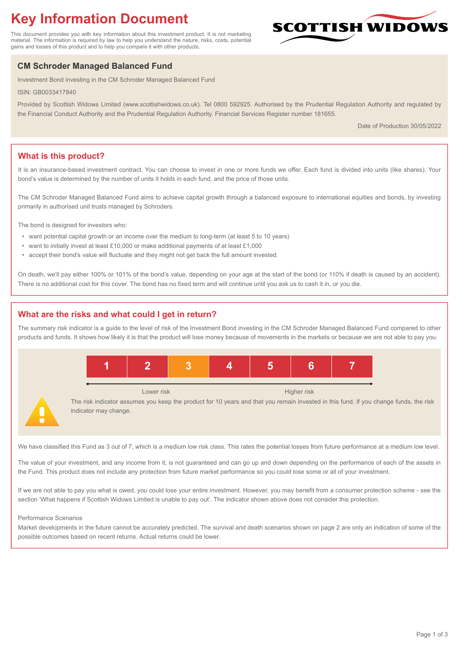# **Key Information Document**

This document provides you with key information about this investment product. It is not marketing material. The information is required by law to help you understand the nature, risks, costs, potential gains and losses of this product and to help you compare it with other products.

## **CM Schroder Managed Balanced Fund**

Investment Bond investing in the CM Schroder Managed Balanced Fund

ISIN: GB0033417840

Provided by Scottish Widows Limited (www.scottishwidows.co.uk). Tel 0800 592925. Authorised by the Prudential Regulation Authority and regulated by the Financial Conduct Authority and the Prudential Regulation Authority. Financial Services Register number 181655.

Date of Production 30/05/2022

**SCOTTISH WIDOW** 

## **What is this product?**

It is an insurance-based investment contract. You can choose to invest in one or more funds we offer. Each fund is divided into units (like shares). Your bond's value is determined by the number of units it holds in each fund, and the price of those units.

The CM Schroder Managed Balanced Fund aims to achieve capital growth through a balanced exposure to international equities and bonds, by investing primarily in authorised unit trusts managed by Schroders.

The bond is designed for investors who:

- want potential capital growth or an income over the medium to long-term (at least 5 to 10 years)
- want to initially invest at least £10,000 or make additional payments of at least £1,000
- accept their bond's value will fluctuate and they might not get back the full amount invested.

On death, we'll pay either 100% or 101% of the bond's value, depending on your age at the start of the bond (or 110% if death is caused by an accident). There is no additional cost for this cover. The bond has no fixed term and will continue until you ask us to cash it in, or you die.

## **What are the risks and what could I get in return?**

The summary risk indicator is a guide to the level of risk of the Investment Bond investing in the CM Schroder Managed Balanced Fund compared to other products and funds. It shows how likely it is that the product will lose money because of movements in the markets or because we are not able to pay you.



We have classified this Fund as 3 out of 7, which is a medium low risk class. This rates the potential losses from future performance at a medium low level.

The value of your investment, and any income from it, is not guaranteed and can go up and down depending on the performance of each of the assets in the Fund. This product does not include any protection from future market performance so you could lose some or all of your investment.

If we are not able to pay you what is owed, you could lose your entire investment. However, you may benefit from a consumer protection scheme - see the section 'What happens if Scottish Widows Limited is unable to pay out'. The indicator shown above does not consider this protection.

#### Performance Scenarios

Market developments in the future cannot be accurately predicted. The survival and death scenarios shown on page 2 are only an indication of some of the possible outcomes based on recent returns. Actual returns could be lower.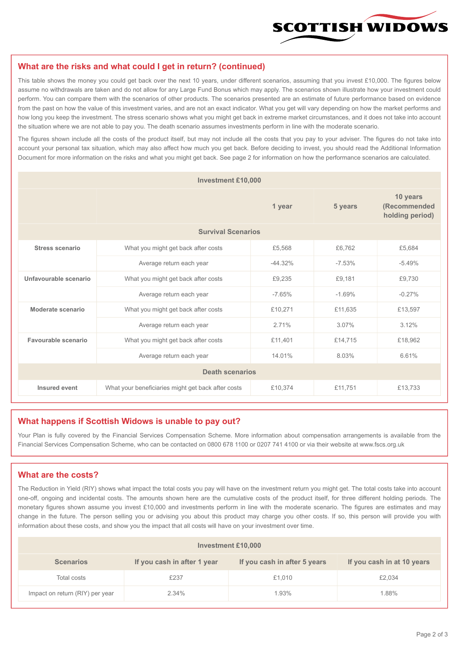

#### **What are the risks and what could I get in return? (continued)**

This table shows the money you could get back over the next 10 years, under different scenarios, assuming that you invest £10,000. The figures below assume no withdrawals are taken and do not allow for any Large Fund Bonus which may apply. The scenarios shown illustrate how your investment could perform. You can compare them with the scenarios of other products. The scenarios presented are an estimate of future performance based on evidence from the past on how the value of this investment varies, and are not an exact indicator. What you get will vary depending on how the market performs and how long you keep the investment. The stress scenario shows what you might get back in extreme market circumstances, and it does not take into account the situation where we are not able to pay you. The death scenario assumes investments perform in line with the moderate scenario.

The figures shown include all the costs of the product itself, but may not include all the costs that you pay to your adviser. The figures do not take into account your personal tax situation, which may also affect how much you get back. Before deciding to invest, you should read the Additional Information Document for more information on the risks and what you might get back. See page 2 for information on how the performance scenarios are calculated.

| <b>Investment £10,000</b> |                                                    |          |          |                                             |  |  |
|---------------------------|----------------------------------------------------|----------|----------|---------------------------------------------|--|--|
|                           | 1 year                                             |          | 5 years  | 10 years<br>(Recommended<br>holding period) |  |  |
| <b>Survival Scenarios</b> |                                                    |          |          |                                             |  |  |
| <b>Stress scenario</b>    | What you might get back after costs<br>£5,568      |          | £6.762   | £5,684                                      |  |  |
|                           | $-44.32%$<br>Average return each year              |          | $-7.53%$ | $-5.49%$                                    |  |  |
| Unfavourable scenario     | What you might get back after costs<br>£9,235      |          | £9,181   | £9,730                                      |  |  |
|                           | Average return each year                           | $-7.65%$ | $-1.69%$ | $-0.27%$                                    |  |  |
| Moderate scenario         | What you might get back after costs                | £10,271  | £11,635  | £13,597                                     |  |  |
|                           | Average return each year                           | 2.71%    | 3.07%    | 3.12%                                       |  |  |
| Favourable scenario       | What you might get back after costs                | £11,401  | £14,715  | £18,962                                     |  |  |
| Average return each year  |                                                    | 14.01%   | 8.03%    | 6.61%                                       |  |  |
| <b>Death scenarios</b>    |                                                    |          |          |                                             |  |  |
| Insured event             | What your beneficiaries might get back after costs | £10,374  | £11,751  | £13,733                                     |  |  |

#### **What happens if Scottish Widows is unable to pay out?**

Your Plan is fully covered by the Financial Services Compensation Scheme. More information about compensation arrangements is available from the Financial Services Compensation Scheme, who can be contacted on 0800 678 1100 or 0207 741 4100 or via their website at www.fscs.org.uk

## **What are the costs?**

The Reduction in Yield (RIY) shows what impact the total costs you pay will have on the investment return you might get. The total costs take into account one-off, ongoing and incidental costs. The amounts shown here are the cumulative costs of the product itself, for three different holding periods. The monetary figures shown assume you invest £10,000 and investments perform in line with the moderate scenario. The figures are estimates and may change in the future. The person selling you or advising you about this product may charge you other costs. If so, this person will provide you with information about these costs, and show you the impact that all costs will have on your investment over time.

| <b>Investment £10,000</b>       |                             |                              |                            |  |  |  |
|---------------------------------|-----------------------------|------------------------------|----------------------------|--|--|--|
| <b>Scenarios</b>                | If you cash in after 1 year | If you cash in after 5 years | If you cash in at 10 years |  |  |  |
| Total costs                     | £237                        | £1,010                       | £2,034                     |  |  |  |
| Impact on return (RIY) per year | 2.34%                       | 1.93%                        | 1.88%                      |  |  |  |